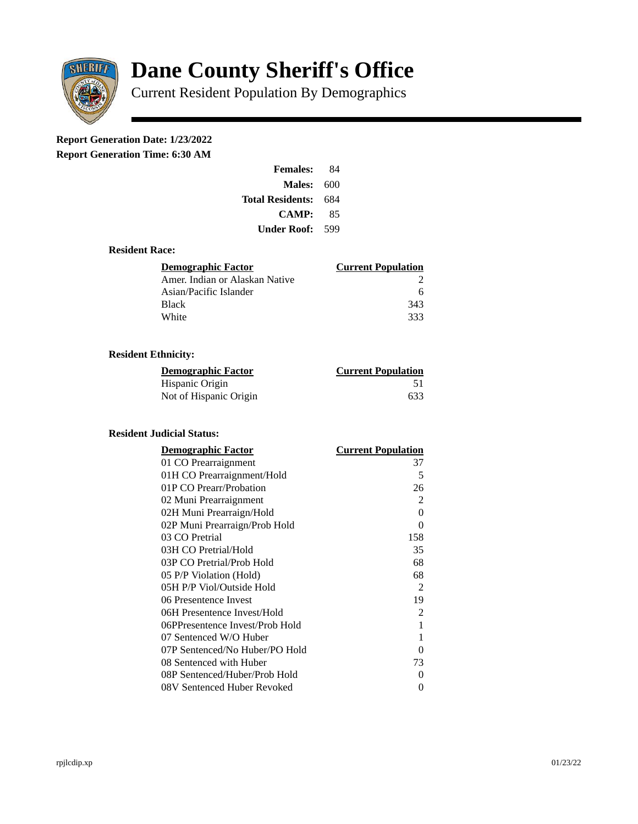

# **Dane County Sheriff's Office**

Current Resident Population By Demographics

# **Report Generation Date: 1/23/2022**

**Report Generation Time: 6:30 AM** 

| <b>Females:</b>         | 84  |  |
|-------------------------|-----|--|
| Males:                  | 600 |  |
| <b>Total Residents:</b> | 684 |  |
| <b>CAMP:</b>            | 85  |  |
| Under Roof: \           | 599 |  |

### **Resident Race:**

| Demographic Factor             | <b>Current Population</b> |
|--------------------------------|---------------------------|
| Amer. Indian or Alaskan Native |                           |
| Asian/Pacific Islander         | 6                         |
| <b>Black</b>                   | 343                       |
| White                          | 333                       |

# **Resident Ethnicity:**

| <u>Demographic Factor</u> | <b>Current Population</b> |
|---------------------------|---------------------------|
| Hispanic Origin           | 51                        |
| Not of Hispanic Origin    | 633                       |

#### **Resident Judicial Status:**

| <b>Demographic Factor</b>       | <b>Current Population</b> |
|---------------------------------|---------------------------|
| 01 CO Prearraignment            | 37                        |
| 01H CO Prearraignment/Hold      | 5                         |
| 01P CO Prearr/Probation         | 26                        |
| 02 Muni Prearraignment          | $\overline{2}$            |
| 02H Muni Prearraign/Hold        | $\overline{0}$            |
| 02P Muni Prearraign/Prob Hold   | $\Omega$                  |
| 03 CO Pretrial                  | 158                       |
| 03H CO Pretrial/Hold            | 35                        |
| 03P CO Pretrial/Prob Hold       | 68                        |
| 05 P/P Violation (Hold)         | 68                        |
| 05H P/P Viol/Outside Hold       | 2                         |
| 06 Presentence Invest           | 19                        |
| 06H Presentence Invest/Hold     | 2                         |
| 06PPresentence Invest/Prob Hold | 1                         |
| 07 Sentenced W/O Huber          | 1                         |
| 07P Sentenced/No Huber/PO Hold  | 0                         |
| 08 Sentenced with Huber         | 73                        |
| 08P Sentenced/Huber/Prob Hold   | 0                         |
| 08V Sentenced Huber Revoked     | 0                         |